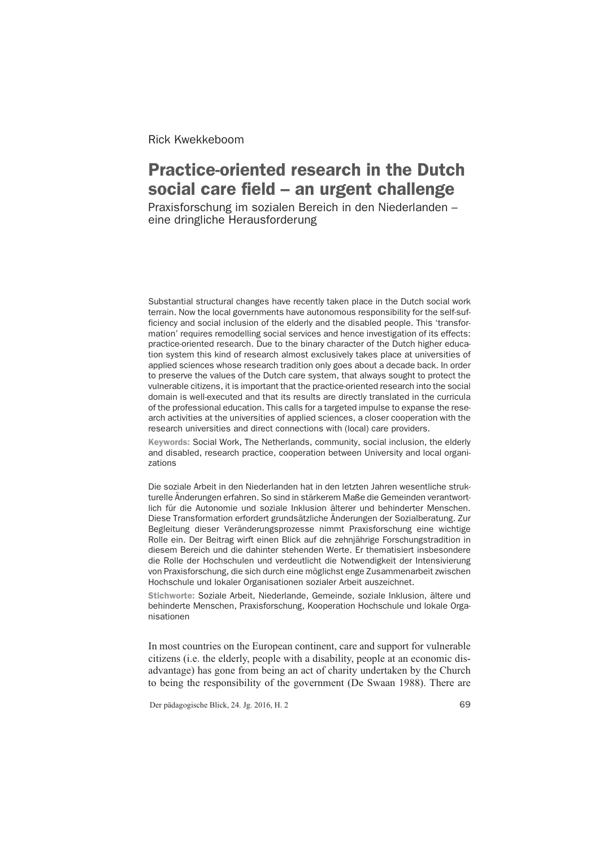Rick Kwekkeboom

# Practice-oriented research in the Dutch social care field – an urgent challenge

Praxisforschung im sozialen Bereich in den Niederlanden – eine dringliche Herausforderung

Substantial structural changes have recently taken place in the Dutch social work terrain. Now the local governments have autonomous responsibility for the self-sufficiency and social inclusion of the elderly and the disabled people. This 'transformation' requires remodelling social services and hence investigation of its effects: practice-oriented research. Due to the binary character of the Dutch higher education system this kind of research almost exclusively takes place at universities of applied sciences whose research tradition only goes about a decade back. In order to preserve the values of the Dutch care system, that always sought to protect the vulnerable citizens, it is important that the practice-oriented research into the social domain is well-executed and that its results are directly translated in the curricula of the professional education. This calls for a targeted impulse to expanse the research activities at the universities of applied sciences, a closer cooperation with the research universities and direct connections with (local) care providers.

Keywords: Social Work, The Netherlands, community, social inclusion, the elderly and disabled, research practice, cooperation between University and local organizations

Die soziale Arbeit in den Niederlanden hat in den letzten Jahren wesentliche strukturelle Änderungen erfahren. So sind in stärkerem Maße die Gemeinden verantwortlich für die Autonomie und soziale Inklusion älterer und behinderter Menschen. Diese Transformation erfordert grundsätzliche Änderungen der Sozialberatung. Zur Begleitung dieser Veränderungsprozesse nimmt Praxisforschung eine wichtige Rolle ein. Der Beitrag wirft einen Blick auf die zehnjährige Forschungstradition in diesem Bereich und die dahinter stehenden Werte. Er thematisiert insbesondere die Rolle der Hochschulen und verdeutlicht die Notwendigkeit der Intensivierung von Praxisforschung, die sich durch eine möglichst enge Zusammenarbeit zwischen Hochschule und lokaler Organisationen sozialer Arbeit auszeichnet.

Stichworte: Soziale Arbeit, Niederlande, Gemeinde, soziale Inklusion, ältere und behinderte Menschen, Praxisforschung, Kooperation Hochschule und lokale Organisationen

In most countries on the European continent, care and support for vulnerable citizens (i.e. the elderly, people with a disability, people at an economic disadvantage) has gone from being an act of charity undertaken by the Church to being the responsibility of the government (De Swaan 1988). There are

Der pädagogische Blick, 24. Jg. 2016, H. 2 69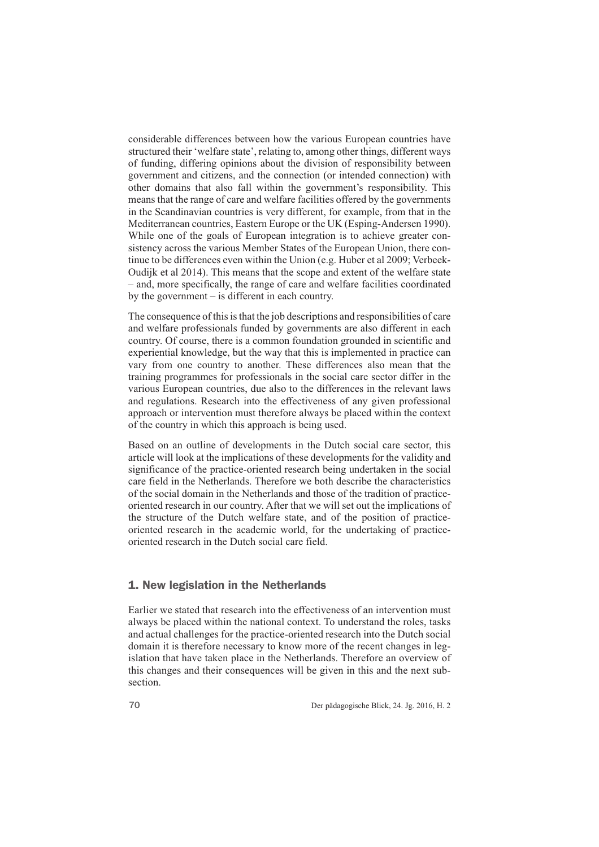considerable differences between how the various European countries have structured their 'welfare state', relating to, among other things, different ways of funding, differing opinions about the division of responsibility between government and citizens, and the connection (or intended connection) with other domains that also fall within the government's responsibility. This means that the range of care and welfare facilities offered by the governments in the Scandinavian countries is very different, for example, from that in the Mediterranean countries, Eastern Europe or the UK (Esping-Andersen 1990). While one of the goals of European integration is to achieve greater consistency across the various Member States of the European Union, there continue to be differences even within the Union (e.g. Huber et al 2009; Verbeek-Oudijk et al 2014). This means that the scope and extent of the welfare state – and, more specifically, the range of care and welfare facilities coordinated by the government – is different in each country.

The consequence of this is that the job descriptions and responsibilities of care and welfare professionals funded by governments are also different in each country. Of course, there is a common foundation grounded in scientific and experiential knowledge, but the way that this is implemented in practice can vary from one country to another. These differences also mean that the training programmes for professionals in the social care sector differ in the various European countries, due also to the differences in the relevant laws and regulations. Research into the effectiveness of any given professional approach or intervention must therefore always be placed within the context of the country in which this approach is being used.

Based on an outline of developments in the Dutch social care sector, this article will look at the implications of these developments for the validity and significance of the practice-oriented research being undertaken in the social care field in the Netherlands. Therefore we both describe the characteristics of the social domain in the Netherlands and those of the tradition of practiceoriented research in our country. After that we will set out the implications of the structure of the Dutch welfare state, and of the position of practiceoriented research in the academic world, for the undertaking of practiceoriented research in the Dutch social care field.

#### 1. New legislation in the Netherlands

Earlier we stated that research into the effectiveness of an intervention must always be placed within the national context. To understand the roles, tasks and actual challenges for the practice-oriented research into the Dutch social domain it is therefore necessary to know more of the recent changes in legislation that have taken place in the Netherlands. Therefore an overview of this changes and their consequences will be given in this and the next subsection.

70 Der pädagogische Blick, 24. Jg. 2016, H. 2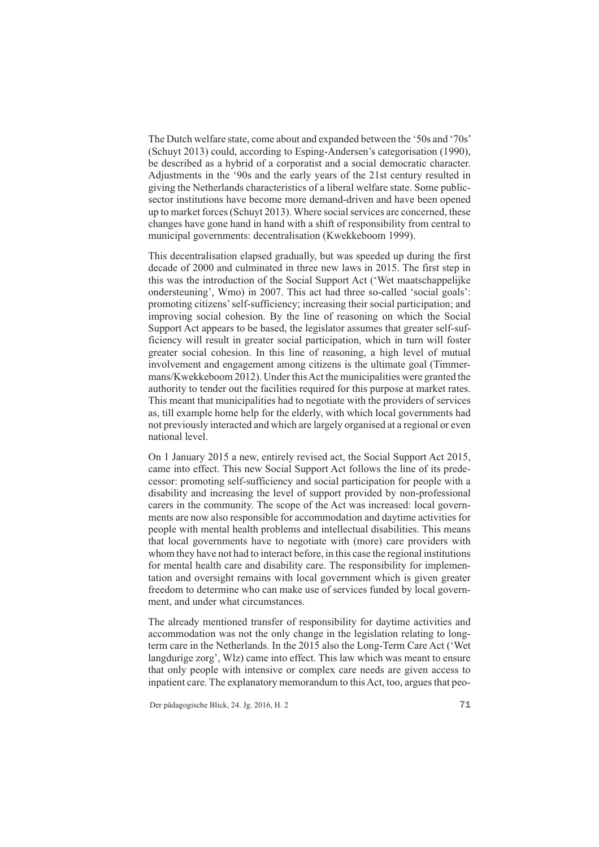The Dutch welfare state, come about and expanded between the '50s and '70s' (Schuyt 2013) could, according to Esping-Andersen's categorisation (1990), be described as a hybrid of a corporatist and a social democratic character. Adjustments in the '90s and the early years of the 21st century resulted in giving the Netherlands characteristics of a liberal welfare state. Some publicsector institutions have become more demand-driven and have been opened up to market forces (Schuyt 2013). Where social services are concerned, these changes have gone hand in hand with a shift of responsibility from central to municipal governments: decentralisation (Kwekkeboom 1999).

This decentralisation elapsed gradually, but was speeded up during the first decade of 2000 and culminated in three new laws in 2015. The first step in this was the introduction of the Social Support Act ('Wet maatschappelijke ondersteuning', Wmo) in 2007. This act had three so-called 'social goals': promoting citizens' self-sufficiency; increasing their social participation; and improving social cohesion. By the line of reasoning on which the Social Support Act appears to be based, the legislator assumes that greater self-sufficiency will result in greater social participation, which in turn will foster greater social cohesion. In this line of reasoning, a high level of mutual involvement and engagement among citizens is the ultimate goal (Timmermans/Kwekkeboom 2012). Under this Act the municipalities were granted the authority to tender out the facilities required for this purpose at market rates. This meant that municipalities had to negotiate with the providers of services as, till example home help for the elderly, with which local governments had not previously interacted and which are largely organised at a regional or even national level.

On 1 January 2015 a new, entirely revised act, the Social Support Act 2015, came into effect. This new Social Support Act follows the line of its predecessor: promoting self-sufficiency and social participation for people with a disability and increasing the level of support provided by non-professional carers in the community. The scope of the Act was increased: local governments are now also responsible for accommodation and daytime activities for people with mental health problems and intellectual disabilities. This means that local governments have to negotiate with (more) care providers with whom they have not had to interact before, in this case the regional institutions for mental health care and disability care. The responsibility for implementation and oversight remains with local government which is given greater freedom to determine who can make use of services funded by local government, and under what circumstances.

The already mentioned transfer of responsibility for daytime activities and accommodation was not the only change in the legislation relating to longterm care in the Netherlands. In the 2015 also the Long-Term Care Act ('Wet langdurige zorg', Wlz) came into effect. This law which was meant to ensure that only people with intensive or complex care needs are given access to inpatient care. The explanatory memorandum to this Act, too, argues that peo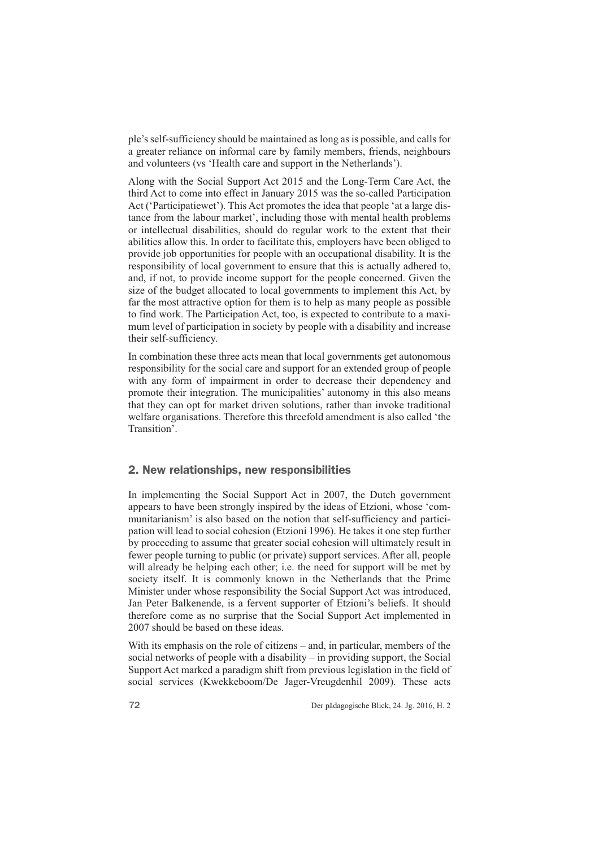ple's self-sufficiency should be maintained as long as is possible, and calls for a greater reliance on informal care by family members, friends, neighbours and volunteers (vs 'Health care and support in the Netherlands').

Along with the Social Support Act 2015 and the Long-Term Care Act, the third Act to come into effect in January 2015 was the so-called Participation Act ('Participatiewet'). This Act promotes the idea that people 'at a large distance from the labour market', including those with mental health problems or intellectual disabilities, should do regular work to the extent that their abilities allow this. In order to facilitate this, employers have been obliged to provide job opportunities for people with an occupational disability. It is the responsibility of local government to ensure that this is actually adhered to, and, if not, to provide income support for the people concerned. Given the size of the budget allocated to local governments to implement this Act, by far the most attractive option for them is to help as many people as possible to find work. The Participation Act, too, is expected to contribute to a maximum level of participation in society by people with a disability and increase their self-sufficiency.

In combination these three acts mean that local governments get autonomous responsibility for the social care and support for an extended group of people with any form of impairment in order to decrease their dependency and promote their integration. The municipalities' autonomy in this also means that they can opt for market driven solutions, rather than invoke traditional welfare organisations. Therefore this threefold amendment is also called 'the Transition'.

#### 2. New relationships, new responsibilities

In implementing the Social Support Act in 2007, the Dutch government appears to have been strongly inspired by the ideas of Etzioni, whose 'communitarianism' is also based on the notion that self-sufficiency and participation will lead to social cohesion (Etzioni 1996). He takes it one step further by proceeding to assume that greater social cohesion will ultimately result in fewer people turning to public (or private) support services. After all, people will already be helping each other; i.e. the need for support will be met by society itself. It is commonly known in the Netherlands that the Prime Minister under whose responsibility the Social Support Act was introduced, Jan Peter Balkenende, is a fervent supporter of Etzioni's beliefs. It should therefore come as no surprise that the Social Support Act implemented in 2007 should be based on these ideas.

With its emphasis on the role of citizens – and, in particular, members of the social networks of people with a disability – in providing support, the Social Support Act marked a paradigm shift from previous legislation in the field of social services (Kwekkeboom/De Jager-Vreugdenhil 2009). These acts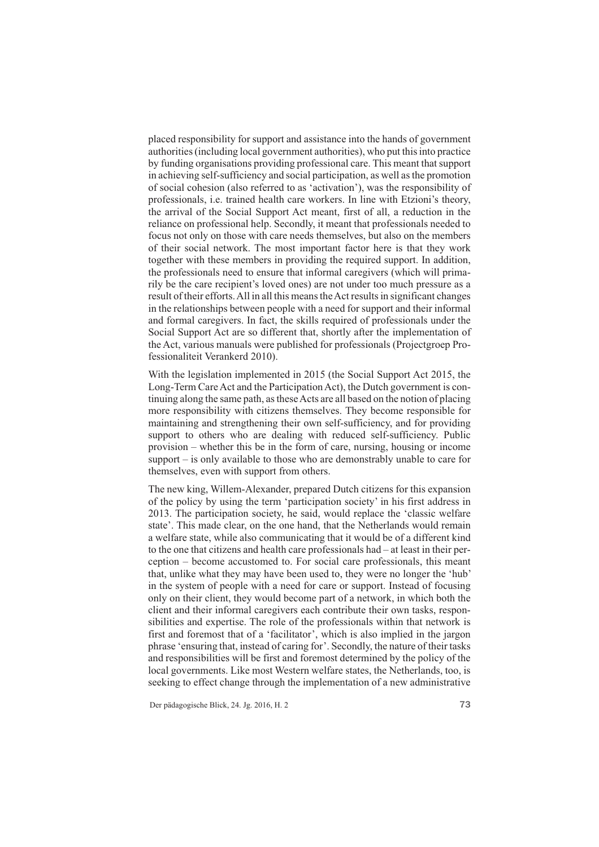placed responsibility for support and assistance into the hands of government authorities (including local government authorities), who put this into practice by funding organisations providing professional care. This meant that support in achieving self-sufficiency and social participation, as well as the promotion of social cohesion (also referred to as 'activation'), was the responsibility of professionals, i.e. trained health care workers. In line with Etzioni's theory, the arrival of the Social Support Act meant, first of all, a reduction in the reliance on professional help. Secondly, it meant that professionals needed to focus not only on those with care needs themselves, but also on the members of their social network. The most important factor here is that they work together with these members in providing the required support. In addition, the professionals need to ensure that informal caregivers (which will primarily be the care recipient's loved ones) are not under too much pressure as a result of their efforts. All in all this means the Act results in significant changes in the relationships between people with a need for support and their informal and formal caregivers. In fact, the skills required of professionals under the Social Support Act are so different that, shortly after the implementation of the Act, various manuals were published for professionals (Projectgroep Professionaliteit Verankerd 2010).

With the legislation implemented in 2015 (the Social Support Act 2015, the Long-Term Care Act and the Participation Act), the Dutch government is continuing along the same path, as these Acts are all based on the notion of placing more responsibility with citizens themselves. They become responsible for maintaining and strengthening their own self-sufficiency, and for providing support to others who are dealing with reduced self-sufficiency. Public provision – whether this be in the form of care, nursing, housing or income support – is only available to those who are demonstrably unable to care for themselves, even with support from others.

The new king, Willem-Alexander, prepared Dutch citizens for this expansion of the policy by using the term 'participation society' in his first address in 2013. The participation society, he said, would replace the 'classic welfare state'. This made clear, on the one hand, that the Netherlands would remain a welfare state, while also communicating that it would be of a different kind to the one that citizens and health care professionals had – at least in their perception – become accustomed to. For social care professionals, this meant that, unlike what they may have been used to, they were no longer the 'hub' in the system of people with a need for care or support. Instead of focusing only on their client, they would become part of a network, in which both the client and their informal caregivers each contribute their own tasks, responsibilities and expertise. The role of the professionals within that network is first and foremost that of a 'facilitator', which is also implied in the jargon phrase 'ensuring that, instead of caring for'. Secondly, the nature of their tasks and responsibilities will be first and foremost determined by the policy of the local governments. Like most Western welfare states, the Netherlands, too, is seeking to effect change through the implementation of a new administrative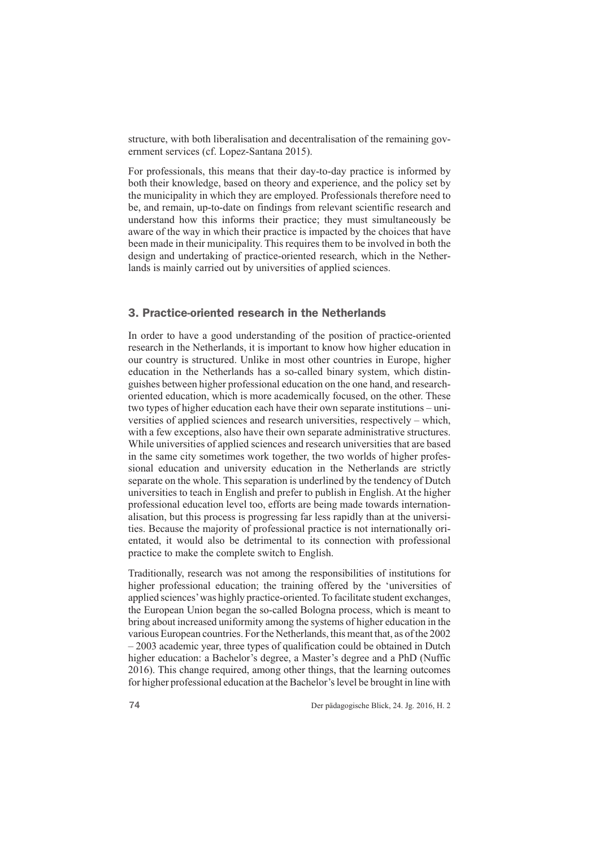structure, with both liberalisation and decentralisation of the remaining government services (cf. Lopez-Santana 2015).

For professionals, this means that their day-to-day practice is informed by both their knowledge, based on theory and experience, and the policy set by the municipality in which they are employed. Professionals therefore need to be, and remain, up-to-date on findings from relevant scientific research and understand how this informs their practice; they must simultaneously be aware of the way in which their practice is impacted by the choices that have been made in their municipality. This requires them to be involved in both the design and undertaking of practice-oriented research, which in the Netherlands is mainly carried out by universities of applied sciences.

## 3. Practice-oriented research in the Netherlands

In order to have a good understanding of the position of practice-oriented research in the Netherlands, it is important to know how higher education in our country is structured. Unlike in most other countries in Europe, higher education in the Netherlands has a so-called binary system, which distinguishes between higher professional education on the one hand, and researchoriented education, which is more academically focused, on the other. These two types of higher education each have their own separate institutions – universities of applied sciences and research universities, respectively – which, with a few exceptions, also have their own separate administrative structures. While universities of applied sciences and research universities that are based in the same city sometimes work together, the two worlds of higher professional education and university education in the Netherlands are strictly separate on the whole. This separation is underlined by the tendency of Dutch universities to teach in English and prefer to publish in English. At the higher professional education level too, efforts are being made towards internationalisation, but this process is progressing far less rapidly than at the universities. Because the majority of professional practice is not internationally orientated, it would also be detrimental to its connection with professional practice to make the complete switch to English.

Traditionally, research was not among the responsibilities of institutions for higher professional education; the training offered by the 'universities of applied sciences' was highly practice-oriented. To facilitate student exchanges, the European Union began the so-called Bologna process, which is meant to bring about increased uniformity among the systems of higher education in the various European countries. For the Netherlands, this meant that, as of the 2002 – 2003 academic year, three types of qualification could be obtained in Dutch higher education: a Bachelor's degree, a Master's degree and a PhD (Nuffic 2016). This change required, among other things, that the learning outcomes for higher professional education at the Bachelor's level be brought in line with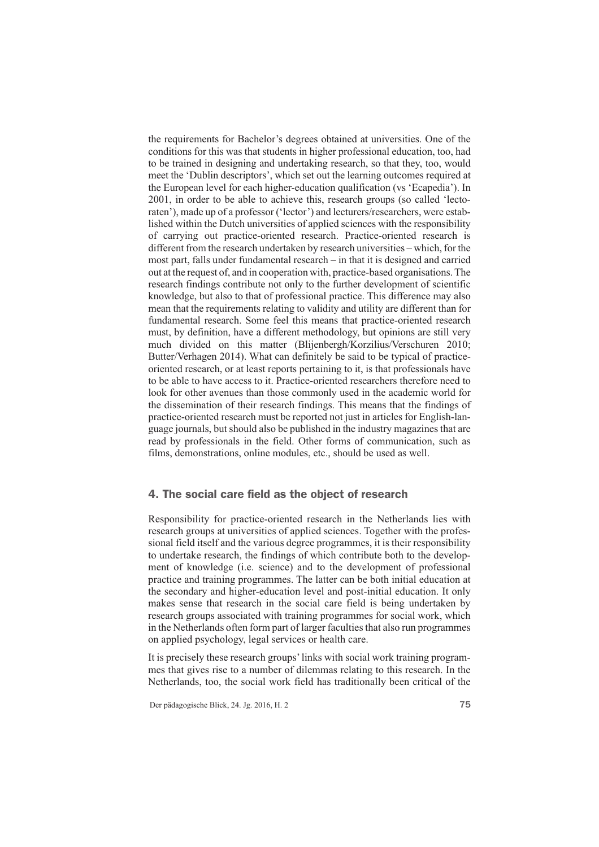the requirements for Bachelor's degrees obtained at universities. One of the conditions for this was that students in higher professional education, too, had to be trained in designing and undertaking research, so that they, too, would meet the 'Dublin descriptors', which set out the learning outcomes required at the European level for each higher-education qualification (vs 'Ecapedia'). In 2001, in order to be able to achieve this, research groups (so called 'lectoraten'), made up of a professor ('lector') and lecturers/researchers, were established within the Dutch universities of applied sciences with the responsibility of carrying out practice-oriented research. Practice-oriented research is different from the research undertaken by research universities – which, for the most part, falls under fundamental research – in that it is designed and carried out at the request of, and in cooperation with, practice-based organisations. The research findings contribute not only to the further development of scientific knowledge, but also to that of professional practice. This difference may also mean that the requirements relating to validity and utility are different than for fundamental research. Some feel this means that practice-oriented research must, by definition, have a different methodology, but opinions are still very much divided on this matter (Blijenbergh/Korzilius/Verschuren 2010; Butter/Verhagen 2014). What can definitely be said to be typical of practiceoriented research, or at least reports pertaining to it, is that professionals have to be able to have access to it. Practice-oriented researchers therefore need to look for other avenues than those commonly used in the academic world for the dissemination of their research findings. This means that the findings of practice-oriented research must be reported not just in articles for English-language journals, but should also be published in the industry magazines that are read by professionals in the field. Other forms of communication, such as films, demonstrations, online modules, etc., should be used as well.

## 4. The social care field as the object of research

Responsibility for practice-oriented research in the Netherlands lies with research groups at universities of applied sciences. Together with the professional field itself and the various degree programmes, it is their responsibility to undertake research, the findings of which contribute both to the development of knowledge (i.e. science) and to the development of professional practice and training programmes. The latter can be both initial education at the secondary and higher-education level and post-initial education. It only makes sense that research in the social care field is being undertaken by research groups associated with training programmes for social work, which in the Netherlands often form part of larger faculties that also run programmes on applied psychology, legal services or health care.

It is precisely these research groups' links with social work training programmes that gives rise to a number of dilemmas relating to this research. In the Netherlands, too, the social work field has traditionally been critical of the

Der pädagogische Blick, 24. Jg. 2016, H. 2 75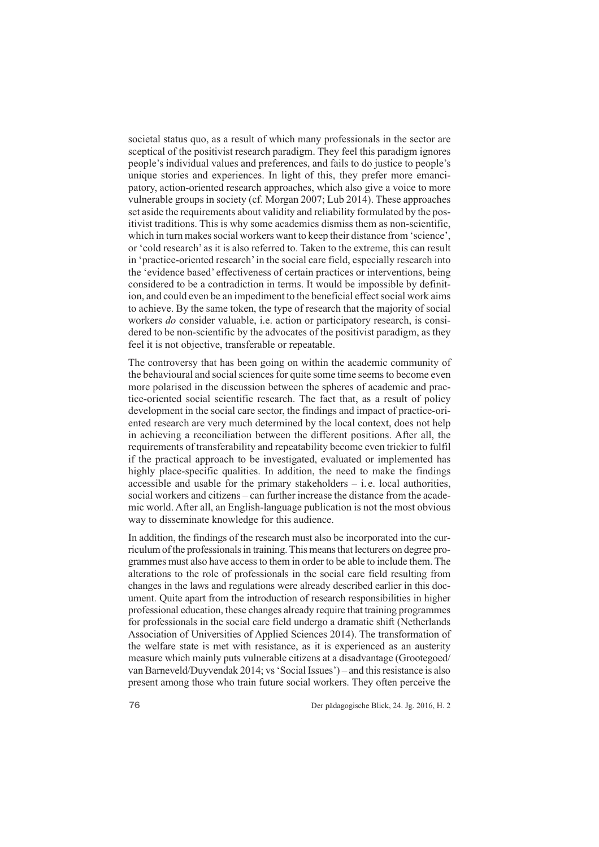societal status quo, as a result of which many professionals in the sector are sceptical of the positivist research paradigm. They feel this paradigm ignores people's individual values and preferences, and fails to do justice to people's unique stories and experiences. In light of this, they prefer more emancipatory, action-oriented research approaches, which also give a voice to more vulnerable groups in society (cf. Morgan 2007; Lub 2014). These approaches set aside the requirements about validity and reliability formulated by the positivist traditions. This is why some academics dismiss them as non-scientific, which in turn makes social workers want to keep their distance from 'science', or 'cold research' as it is also referred to. Taken to the extreme, this can result in 'practice-oriented research' in the social care field, especially research into the 'evidence based' effectiveness of certain practices or interventions, being considered to be a contradiction in terms. It would be impossible by definit ion, and could even be an impediment to the beneficial effect social work aims to achieve. By the same token, the type of research that the majority of social workers *do* consider valuable, i.e. action or participatory research, is considered to be non-scientific by the advocates of the positivist paradigm, as they feel it is not objective, transferable or repeatable.

The controversy that has been going on within the academic community of the behavioural and social sciences for quite some time seems to become even more polarised in the discussion between the spheres of academic and practice-oriented social scientific research. The fact that, as a result of policy development in the social care sector, the findings and impact of practice-oriented research are very much determined by the local context, does not help in achieving a reconciliation between the different positions. After all, the requirements of transferability and repeatability become even trickier to fulfil if the practical approach to be investigated, evaluated or implemented has highly place-specific qualities. In addition, the need to make the findings accessible and usable for the primary stakeholders  $-$  i.e. local authorities, social workers and citizens – can further increase the distance from the acade mic world. After all, an English-language publication is not the most obvious way to disseminate knowledge for this audience.

In addition, the findings of the research must also be incorporated into the curriculum of the professionals in training. This means that lecturers on degree programmes must also have access to them in order to be able to include them. The alterations to the role of professionals in the social care field resulting from changes in the laws and regulations were already described earlier in this document. Quite apart from the introduction of research responsibilities in higher professional education, these changes already require that training programmes for professionals in the social care field undergo a dramatic shift (Netherlands Association of Universities of Applied Sciences 2014). The transformation of the welfare state is met with resistance, as it is experienced as an austerity measure which mainly puts vulnerable citizens at a disadvantage (Grootegoed/ van Barneveld/Duyvendak 2014; vs 'Social Issues') – and this resistance is also present among those who train future social workers. They often perceive the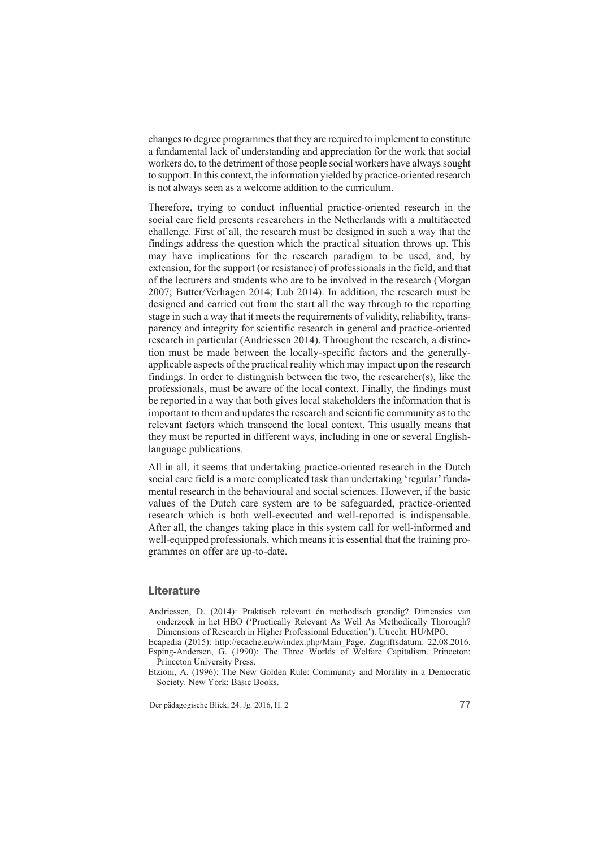changes to degree programmes that they are required to implement to constitute a fundamental lack of understanding and appreciation for the work that social workers do, to the detriment of those people social workers have always sought to support. In this context, the information yiel ded by practice-oriented research is not always seen as a welcome addition to the curriculum.

Therefore, trying to conduct influential practice-oriented research in the social care field presents researchers in the Netherlands with a multifaceted challenge. First of all, the research must be designed in such a way that the findings address the question which the practical situation throws up. This may have implications for the research paradigm to be used, and, by extension, for the support (or resistance) of professionals in the field, and that of the lecturers and students who are to be involved in the research (Morgan 2007; Butter/Verhagen 2014; Lub 2014). In addition, the research must be designed and carried out from the start all the way through to the reporting stage in such a way that it meets the requirements of validity, reliability, transparency and integrity for scientific research in general and practice-oriented research in particular (Andriessen 2014). Throughout the research, a distinc tion must be made between the locally-specific factors and the generallyapplicable aspects of the practical reality which may impact upon the research findings. In order to distinguish between the two, the researcher(s), like the professionals, must be aware of the local context. Finally, the findings must be reported in a way that both gives local stakeholders the information that is important to them and updates the research and scientific community as to the relevant factors which transcend the local context. This usually means that they must be reported in different ways, including in one or several Englishlanguage publications.

All in all, it seems that undertaking practice-oriented research in the Dutch social care field is a more complicated task than undertaking 'regular' fundamental research in the behavioural and social sciences. However, if the basic values of the Dutch care system are to be safeguarded, practice-oriented research which is both well-executed and well-reported is indispensable. After all, the changes taking place in this system call for well-informed and well-equipped professionals, which means it is essential that the training programmes on offer are up-to-date.

#### **Literature**

Andriessen, D. (2014): Praktisch relevant én methodisch grondig? Dimensies van onderzoek in het HBO ('Practically Relevant As Well As Methodically Thorough? Dimensions of Research in Higher Professional Education'). Utrecht: HU/MPO.

Ecapedia (2015): http://ecache.eu/w/index.php/Main\_Page. Zugriffsdatum: 22.08.2016. Esping-Andersen, G. (1990): The Three Worlds of Welfare Capitalism. Princeton: Princeton University Press.

Etzioni, A. (1996): The New Golden Rule: Community and Morality in a Democratic Society. New York: Basic Books.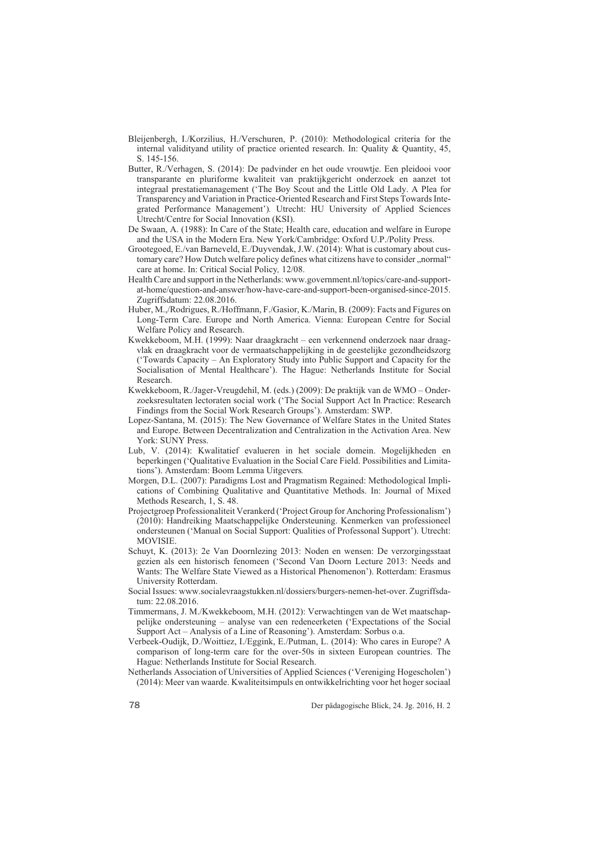- Bleijenbergh, I./Korzilius, H./Verschuren, P. (2010): Methodological criteria for the internal validityand utility of practice oriented research. In: Quality & Quantity, 45, S. 145-156.
- Butter, R./Verhagen, S. (2014): De padvinder en het oude vrouwtje. Een pleidooi voor transparante en pluriforme kwaliteit van praktijkgericht onderzoek en aanzet tot integraal prestatiemanagement ('The Boy Scout and the Little Old Lady. A Plea for Transparency and Variation in Practice-Oriented Research and First Steps Towards Integrated Performance Management')*.* Utrecht: HU University of Applied Sciences Utrecht/Centre for Social Innovation (KSI).
- De Swaan, A. (1988): In Care of the State; Health care, education and welfare in Europe and the USA in the Modern Era. New York/Cambridge: Oxford U.P./Polity Press.
- Grootegoed, E./van Barneveld, E./Duyvendak, J.W. (2014): What is customary about customary care? How Dutch welfare policy defines what citizens have to consider ,,normal" care at home. In: Critical Social Policy*,* 12/08.
- Health Care and support in the Netherlands: www.government.nl/topics/care-and-supportat-home/question-and-answer/how-have-care-and-support-been-organised-since-2015. Zugriffsdatum: 22.08.2016.
- Huber, M.,/Rodrigues, R./Hoffmann, F./Gasior, K./Marin, B. (2009): Facts and Figures on Long-Term Care. Europe and North America. Vienna: European Centre for Social Welfare Policy and Research.
- Kwekkeboom, M.H. (1999): Naar draagkracht een verkennend onderzoek naar draagvlak en draagkracht voor de vermaatschappelijking in de geestelijke gezondheidszorg ('Towards Capacity – An Exploratory Study into Public Support and Capacity for the Socialisation of Mental Healthcare'). The Hague: Netherlands Institute for Social Research.
- Kwekkeboom, R./Jager-Vreugdehil, M. (eds.) (2009): De praktijk van de WMO Onderzoeksresultaten lectoraten social work ('The Social Support Act In Practice: Research Findings from the Social Work Research Groups'). Amsterdam: SWP.
- Lopez-Santana, M. (2015): The New Governance of Welfare States in the United States and Europe. Between Decentralization and Centralization in the Activation Area. New York: SUNY Press.
- Lub, V. (2014): Kwalitatief evalueren in het sociale domein. Mogelijkheden en beperkingen ('Qualitative Evaluation in the Social Care Field. Possibilities and Limitations'). Amsterdam: Boom Lemma Uitgevers*.*
- Morgen, D.L. (2007): Paradigms Lost and Pragmatism Regained: Methodological Implications of Combining Qualitative and Quantitative Methods. In: Journal of Mixed Methods Research, 1, S. 48.
- Projectgroep Professionaliteit Verankerd ('Project Group for Anchoring Professionalism') (2010): Handreiking Maatschappelijke Ondersteuning. Kenmerken van professioneel ondersteunen ('Manual on Social Support: Qualities of Professonal Support'). Utrecht: MOVISIE.
- Schuyt, K. (2013): 2e Van Doornlezing 2013: Noden en wensen: De verzorgingsstaat gezien als een historisch fenomeen ('Second Van Doorn Lecture 2013: Needs and Wants: The Welfare State Viewed as a Historical Phenomenon'). Rotterdam: Erasmus University Rotterdam.
- Social Issues: www.socialevraagstukken.nl/dossiers/burgers-nemen-het-over. Zugriffsdatum: 22.08.2016.
- Timmermans, J. M./Kwekkeboom, M.H. (2012): Verwachtingen van de Wet maatschappelijke ondersteuning – analyse van een redeneerketen ('Expectations of the Social Support Act – Analysis of a Line of Reasoning'). Amsterdam: Sorbus o.a.
- Verbeek-Oudijk, D./Woittiez, I./Eggink, E./Putman, L. (2014): Who cares in Europe? A comparison of long-term care for the over-50s in sixteen European countries. The Hague: Netherlands Institute for Social Research.
- Netherlands Association of Universities of Applied Sciences ('Vereniging Hogescholen') (2014): Meer van waarde. Kwaliteitsimpuls en ontwikkelrichting voor het hoger sociaal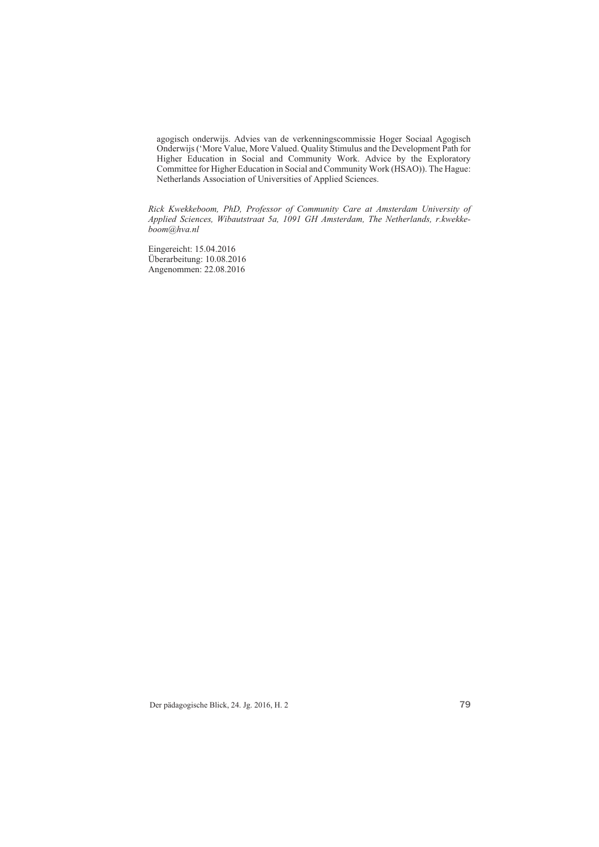agogisch onderwijs. Advies van de verkenningscommissie Hoger Sociaal Agogisch Onderwijs ('More Value, More Valued. Quality Stimulus and the Development Path for Higher Education in Social and Community Work. Advice by the Exploratory Committee for Higher Education in Social and Community Work (HSAO)). The Hague: Netherlands Association of Universities of Applied Sciences.

*Rick Kwekkeboom, PhD, Professor of Community Care at Amsterdam University of Applied Sciences, Wibautstraat 5a, 1091 GH Amsterdam, The Netherlands, r.kwekkeboom@hva.nl* 

Eingereicht: 15.04.2016 Überarbeitung: 10.08.2016 Angenommen: 22.08.2016